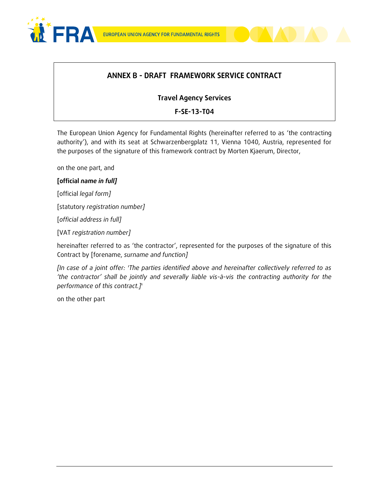



### **ANNEX B - DRAFT FRAMEWORK SERVICE CONTRACT**

#### **Travel Agency Services**

#### **F-SE-13-T04**

The European Union Agency for Fundamental Rights (hereinafter referred to as 'the contracting authority'), and with its seat at Schwarzenbergplatz 11, Vienna 1040, Austria, represented for the purposes of the signature of this framework contract by Morten Kjaerum, Director,

on the one part, and

#### **[official** *name in full]*

[official *legal form]*

[statutory *registration number]*

[*official address in full]* 

[VAT *registration number]*

hereinafter referred to as 'the contractor', represented for the purposes of the signature of this Contract by [forename, *surname and function]*

*[In case of a joint offer: 'The parties identified above and hereinafter collectively referred to as 'the contractor' shall be jointly and severally liable vis-à-vis the contracting authority for the performance of this contract.]*'

on the other part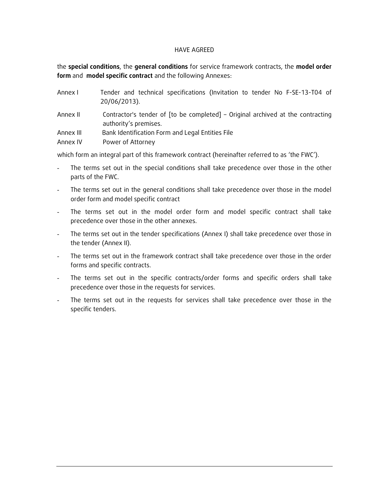#### HAVE AGREED

the **special conditions**, the **general conditions** for service framework contracts, the **model order form** and **model specific contract** and the following Annexes:

| Annex I   | Tender and technical specifications (Invitation to tender No F-SE-13-T04 of<br>20/06/2013).              |
|-----------|----------------------------------------------------------------------------------------------------------|
| Annex II  | Contractor's tender of [to be completed] - Original archived at the contracting<br>authority's premises. |
| Annex III | Bank Identification Form and Legal Entities File                                                         |
| Annex IV  | Power of Attorney                                                                                        |

which form an integral part of this framework contract (hereinafter referred to as 'the FWC').

- The terms set out in the special conditions shall take precedence over those in the other parts of the FWC.
- The terms set out in the general conditions shall take precedence over those in the model order form and model specific contract
- The terms set out in the model order form and model specific contract shall take precedence over those in the other annexes.
- The terms set out in the tender specifications (Annex I) shall take precedence over those in the tender (Annex II).
- The terms set out in the framework contract shall take precedence over those in the order forms and specific contracts.
- The terms set out in the specific contracts/order forms and specific orders shall take precedence over those in the requests for services.
- The terms set out in the requests for services shall take precedence over those in the specific tenders.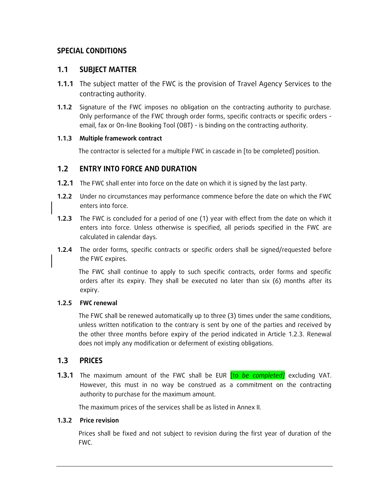### **SPECIAL CONDITIONS**

#### **1.1 SUBJECT MATTER**

- **1.1.1** The subject matter of the FWC is the provision of Travel Agency Services to the contracting authority.
- **1.1.2** Signature of the FWC imposes no obligation on the contracting authority to purchase. Only performance of the FWC through order forms, specific contracts or specific orders email, fax or On-line Booking Tool (OBT) - is binding on the contracting authority.

#### **1.1.3 Multiple framework contract**

The contractor is selected for a multiple FWC in cascade in [to be completed] position.

#### **1.2 ENTRY INTO FORCE AND DURATION**

- **1.2.1** The FWC shall enter into force on the date on which it is signed by the last party.
- **1.2.2** Under no circumstances may performance commence before the date on which the FWC enters into force.
- **1.2.3** The FWC is concluded for a period of one (1) year with effect from the date on which it enters into force. Unless otherwise is specified, all periods specified in the FWC are calculated in calendar days.
- **1.2.4** The order forms, specific contracts or specific orders shall be signed/requested before the FWC expires.

The FWC shall continue to apply to such specific contracts, order forms and specific orders after its expiry. They shall be executed no later than six (6) months after its expiry.

#### **1.2.5 FWC renewal**

The FWC shall be renewed automatically up to three (3) times under the same conditions, unless written notification to the contrary is sent by one of the parties and received by the other three months before expiry of the period indicated in Article 1.2.3. Renewal does not imply any modification or deferment of existing obligations.

#### **1.3 PRICES**

**1.3.1** The maximum amount of the FWC shall be EUR [to *be completed]* excluding VAT. However, this must in no way be construed as a commitment on the contracting authority to purchase for the maximum amount.

The maximum prices of the services shall be as listed in Annex II.

#### **1.3.2 Price revision**

Prices shall be fixed and not subject to revision during the first year of duration of the FWC.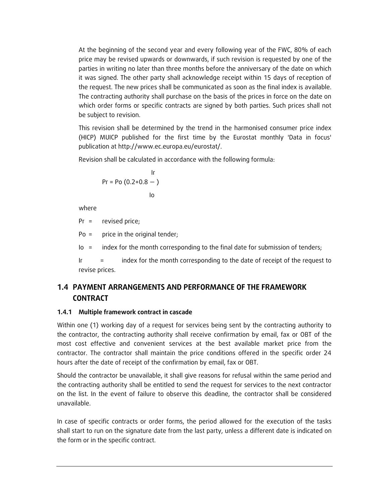At the beginning of the second year and every following year of the FWC, 80% of each price may be revised upwards or downwards, if such revision is requested by one of the parties in writing no later than three months before the anniversary of the date on which it was signed. The other party shall acknowledge receipt within 15 days of reception of the request. The new prices shall be communicated as soon as the final index is available. The contracting authority shall purchase on the basis of the prices in force on the date on which order forms or specific contracts are signed by both parties. Such prices shall not be subject to revision.

This revision shall be determined by the trend in the harmonised consumer price index (HICP) MUICP published for the first time by the Eurostat monthly 'Data in focus' publication at http://www.ec.europa.eu/eurostat/.

Revision shall be calculated in accordance with the following formula:

$$
Pr = Po (0.2 + 0.8 - )
$$
  
lo

where

Pr = revised price;

Po = price in the original tender;

Io = index for the month corresponding to the final date for submission of tenders;

Ir = index for the month corresponding to the date of receipt of the request to revise prices.

# **1.4 PAYMENT ARRANGEMENTS AND PERFORMANCE OF THE FRAMEWORK CONTRACT**

#### **1.4.1 Multiple framework contract in cascade**

Within one (1) working day of a request for services being sent by the contracting authority to the contractor, the contracting authority shall receive confirmation by email, fax or OBT of the most cost effective and convenient services at the best available market price from the contractor. The contractor shall maintain the price conditions offered in the specific order 24 hours after the date of receipt of the confirmation by email, fax or OBT.

Should the contractor be unavailable, it shall give reasons for refusal within the same period and the contracting authority shall be entitled to send the request for services to the next contractor on the list. In the event of failure to observe this deadline, the contractor shall be considered unavailable.

In case of specific contracts or order forms, the period allowed for the execution of the tasks shall start to run on the signature date from the last party, unless a different date is indicated on the form or in the specific contract.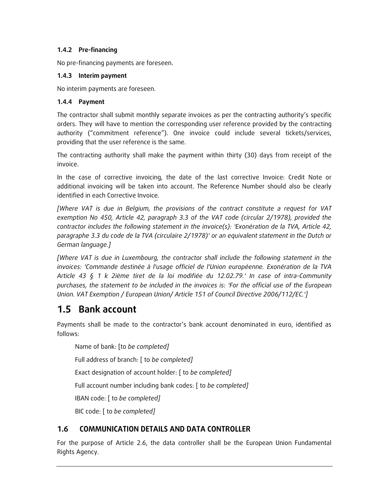#### **1.4.2 Pre-financing**

No pre-financing payments are foreseen.

#### **1.4.3 Interim payment**

No interim payments are foreseen.

#### **1.4.4 Payment**

The contractor shall submit monthly separate invoices as per the contracting authority's specific orders. They will have to mention the corresponding user reference provided by the contracting authority ("commitment reference"). One invoice could include several tickets/services, providing that the user reference is the same.

The contracting authority shall make the payment within thirty (30) days from receipt of the invoice.

In the case of corrective invoicing, the date of the last corrective Invoice: Credit Note or additional invoicing will be taken into account. The Reference Number should also be clearly identified in each Corrective Invoice.

*[Where VAT is due in Belgium, the provisions of the contract constitute a request for VAT exemption No 450, Article 42, paragraph 3.3 of the VAT code (circular 2/1978), provided the contractor includes the following statement in the invoice(s): 'Exonération de la TVA, Article 42, paragraphe 3.3 du code de la TVA (circulaire 2/1978)' or an equivalent statement in the Dutch or German language.]*

*[Where VAT is due in Luxembourg, the contractor shall include the following statement in the invoices: 'Commande destinée à l'usage officiel de l'Union européenne. Exonération de la TVA Article 43 § 1 k 2ième tiret de la loi modifiée du 12.02.79.' In case of intra-Community purchases, the statement to be included in the invoices is: 'For the official use of the European Union. VAT Exemption / European Union/ Article 151 of Council Directive 2006/112/EC.']*

# **1.5 Bank account**

Payments shall be made to the contractor's bank account denominated in euro, identified as follows:

Name of bank: [to *be completed]*

Full address of branch: [ to *be completed]*

Exact designation of account holder: [ to *be completed]*

Full account number including bank codes: [ to *be completed]*

IBAN code: [ to *be completed]*

BIC code: [ to *be completed]*

# **1.6 COMMUNICATION DETAILS AND DATA CONTROLLER**

For the purpose of Article 2.6, the data controller shall be the European Union Fundamental Rights Agency.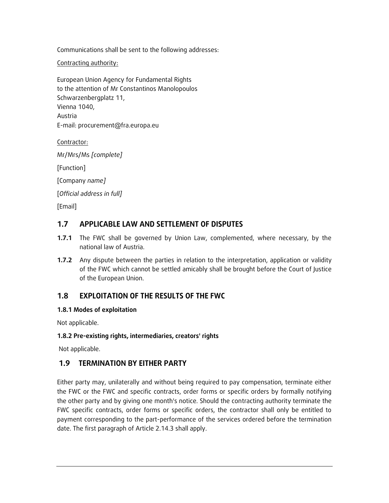Communications shall be sent to the following addresses:

Contracting authority:

European Union Agency for Fundamental Rights to the attention of Mr Constantinos Manolopoulos Schwarzenbergplatz 11, Vienna 1040, Austria E-mail: procurement@fra.europa.eu

Contractor:

Mr/Mrs/Ms *[complete]*

[Function]

[Company *name]*

[*Official address in full]*

[Email]

### **1.7 APPLICABLE LAW AND SETTLEMENT OF DISPUTES**

- **1.7.1** The FWC shall be governed by Union Law, complemented, where necessary, by the national law of Austria.
- **1.7.2** Any dispute between the parties in relation to the interpretation, application or validity of the FWC which cannot be settled amicably shall be brought before the Court of Justice of the European Union.

### **1.8 EXPLOITATION OF THE RESULTS OF THE FWC**

#### **1.8.1 Modes of exploitation**

Not applicable.

#### **1.8.2 Pre-existing rights, intermediaries, creators' rights**

Not applicable.

### **1.9 TERMINATION BY EITHER PARTY**

Either party may, unilaterally and without being required to pay compensation, terminate either the FWC or the FWC and specific contracts, order forms or specific orders by formally notifying the other party and by giving one month's notice. Should the contracting authority terminate the FWC specific contracts, order forms or specific orders, the contractor shall only be entitled to payment corresponding to the part-performance of the services ordered before the termination date. The first paragraph of Article 2.14.3 shall apply.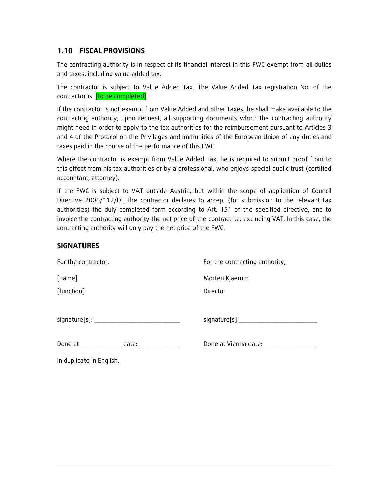### **1.10 FISCAL PROVISIONS**

The contracting authority is in respect of its financial interest in this FWC exempt from all duties and taxes, including value added tax.

The contractor is subject to Value Added Tax. The Value Added Tax registration No. of the contractor is: [to be completed].

If the contractor is not exempt from Value Added and other Taxes, he shall make available to the contracting authority, upon request, all supporting documents which the contracting authority might need in order to apply to the tax authorities for the reimbursement pursuant to Articles 3 and 4 of the Protocol on the Privileges and Immunities of the European Union of any duties and taxes paid in the course of the performance of this FWC.

Where the contractor is exempt from Value Added Tax, he is required to submit proof from to this effect from his tax authorities or by a professional, who enjoys special public trust (certified accountant, attorney).

If the FWC is subject to VAT outside Austria, but within the scope of application of Council Directive 2006/112/EC, the contractor declares to accept (for submission to the relevant tax authorities) the duly completed form according to Art. 151 of the specified directive, and to invoice the contracting authority the net price of the contract i.e. excluding VAT. In this case, the contracting authority will only pay the net price of the FWC.

### **SIGNATURES**

| For the contractor,                                                                                                     | For the contracting authority, |  |  |  |  |  |
|-------------------------------------------------------------------------------------------------------------------------|--------------------------------|--|--|--|--|--|
| [name]                                                                                                                  | Morten Kjaerum                 |  |  |  |  |  |
| [function]                                                                                                              | Director                       |  |  |  |  |  |
|                                                                                                                         |                                |  |  |  |  |  |
|                                                                                                                         | signature[s]:                  |  |  |  |  |  |
|                                                                                                                         |                                |  |  |  |  |  |
| date:<br>Done at the state of the state of the state of the state of the state of the state of the state of the state o | Done at Vienna date:           |  |  |  |  |  |
| In duplicate in English.                                                                                                |                                |  |  |  |  |  |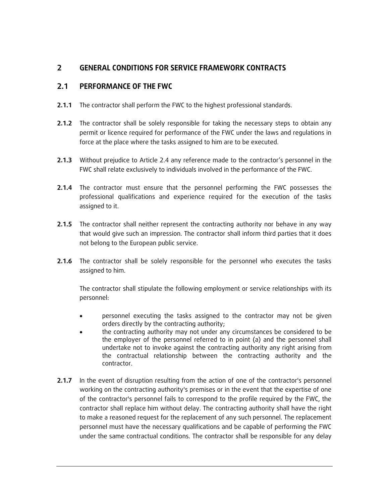### **2 GENERAL CONDITIONS FOR SERVICE FRAMEWORK CONTRACTS**

### **2.1 PERFORMANCE OF THE FWC**

- **2.1.1** The contractor shall perform the FWC to the highest professional standards.
- **2.1.2** The contractor shall be solely responsible for taking the necessary steps to obtain any permit or licence required for performance of the FWC under the laws and regulations in force at the place where the tasks assigned to him are to be executed.
- **2.1.3** Without prejudice to Article 2.4 any reference made to the contractor's personnel in the FWC shall relate exclusively to individuals involved in the performance of the FWC.
- **2.1.4** The contractor must ensure that the personnel performing the FWC possesses the professional qualifications and experience required for the execution of the tasks assigned to it.
- **2.1.5** The contractor shall neither represent the contracting authority nor behave in any way that would give such an impression. The contractor shall inform third parties that it does not belong to the European public service.
- **2.1.6** The contractor shall be solely responsible for the personnel who executes the tasks assigned to him.

The contractor shall stipulate the following employment or service relationships with its personnel:

- personnel executing the tasks assigned to the contractor may not be given orders directly by the contracting authority;
- the contracting authority may not under any circumstances be considered to be the employer of the personnel referred to in point (a) and the personnel shall undertake not to invoke against the contracting authority any right arising from the contractual relationship between the contracting authority and the contractor.
- **2.1.7** In the event of disruption resulting from the action of one of the contractor's personnel working on the contracting authority's premises or in the event that the expertise of one of the contractor's personnel fails to correspond to the profile required by the FWC, the contractor shall replace him without delay. The contracting authority shall have the right to make a reasoned request for the replacement of any such personnel. The replacement personnel must have the necessary qualifications and be capable of performing the FWC under the same contractual conditions. The contractor shall be responsible for any delay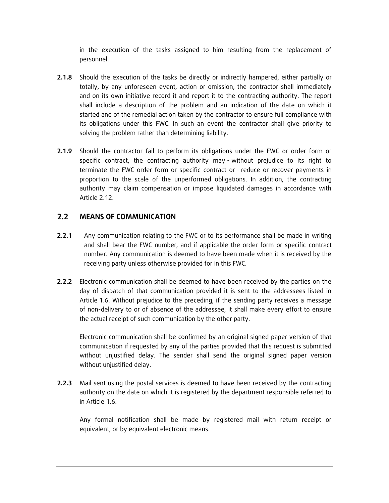in the execution of the tasks assigned to him resulting from the replacement of personnel.

- **2.1.8** Should the execution of the tasks be directly or indirectly hampered, either partially or totally, by any unforeseen event, action or omission, the contractor shall immediately and on its own initiative record it and report it to the contracting authority. The report shall include a description of the problem and an indication of the date on which it started and of the remedial action taken by the contractor to ensure full compliance with its obligations under this FWC. In such an event the contractor shall give priority to solving the problem rather than determining liability.
- **2.1.9** Should the contractor fail to perform its obligations under the FWC or order form or specific contract, the contracting authority may - without prejudice to its right to terminate the FWC order form or specific contract or - reduce or recover payments in proportion to the scale of the unperformed obligations. In addition, the contracting authority may claim compensation or impose liquidated damages in accordance with Article 2.12.

#### **2.2 MEANS OF COMMUNICATION**

- **2.2.1** Any communication relating to the FWC or to its performance shall be made in writing and shall bear the FWC number, and if applicable the order form or specific contract number. Any communication is deemed to have been made when it is received by the receiving party unless otherwise provided for in this FWC.
- **2.2.2** Electronic communication shall be deemed to have been received by the parties on the day of dispatch of that communication provided it is sent to the addressees listed in Article 1.6. Without prejudice to the preceding, if the sending party receives a message of non-delivery to or of absence of the addressee, it shall make every effort to ensure the actual receipt of such communication by the other party.

Electronic communication shall be confirmed by an original signed paper version of that communication if requested by any of the parties provided that this request is submitted without unjustified delay. The sender shall send the original signed paper version without unjustified delay.

**2.2.3** Mail sent using the postal services is deemed to have been received by the contracting authority on the date on which it is registered by the department responsible referred to in Article 1.6.

Any formal notification shall be made by registered mail with return receipt or equivalent, or by equivalent electronic means.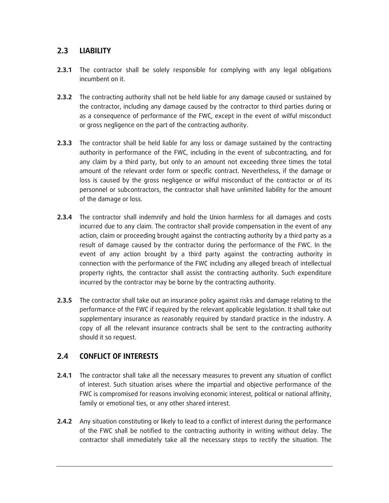### **2.3 LIABILITY**

- **2.3.1** The contractor shall be solely responsible for complying with any legal obligations incumbent on it.
- **2.3.2** The contracting authority shall not be held liable for any damage caused or sustained by the contractor, including any damage caused by the contractor to third parties during or as a consequence of performance of the FWC, except in the event of wilful misconduct or gross negligence on the part of the contracting authority.
- **2.3.3** The contractor shall be held liable for any loss or damage sustained by the contracting authority in performance of the FWC, including in the event of subcontracting, and for any claim by a third party, but only to an amount not exceeding three times the total amount of the relevant order form or specific contract. Nevertheless, if the damage or loss is caused by the gross negligence or wilful misconduct of the contractor or of its personnel or subcontractors, the contractor shall have unlimited liability for the amount of the damage or loss.
- **2.3.4** The contractor shall indemnify and hold the Union harmless for all damages and costs incurred due to any claim. The contractor shall provide compensation in the event of any action, claim or proceeding brought against the contracting authority by a third party as a result of damage caused by the contractor during the performance of the FWC. In the event of any action brought by a third party against the contracting authority in connection with the performance of the FWC including any alleged breach of intellectual property rights, the contractor shall assist the contracting authority. Such expenditure incurred by the contractor may be borne by the contracting authority.
- **2.3.5** The contractor shall take out an insurance policy against risks and damage relating to the performance of the FWC if required by the relevant applicable legislation. It shall take out supplementary insurance as reasonably required by standard practice in the industry. A copy of all the relevant insurance contracts shall be sent to the contracting authority should it so request.

### **2.4 CONFLICT OF INTERESTS**

- **2.4.1** The contractor shall take all the necessary measures to prevent any situation of conflict of interest. Such situation arises where the impartial and objective performance of the FWC is compromised for reasons involving economic interest, political or national affinity, family or emotional ties, or any other shared interest.
- **2.4.2** Any situation constituting or likely to lead to a conflict of interest during the performance of the FWC shall be notified to the contracting authority in writing without delay. The contractor shall immediately take all the necessary steps to rectify the situation. The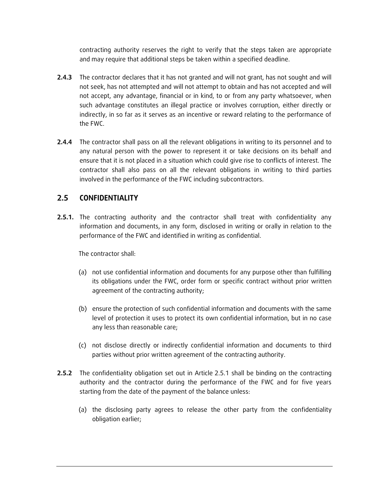contracting authority reserves the right to verify that the steps taken are appropriate and may require that additional steps be taken within a specified deadline.

- **2.4.3** The contractor declares that it has not granted and will not grant, has not sought and will not seek, has not attempted and will not attempt to obtain and has not accepted and will not accept, any advantage, financial or in kind, to or from any party whatsoever, when such advantage constitutes an illegal practice or involves corruption, either directly or indirectly, in so far as it serves as an incentive or reward relating to the performance of the FWC.
- **2.4.4** The contractor shall pass on all the relevant obligations in writing to its personnel and to any natural person with the power to represent it or take decisions on its behalf and ensure that it is not placed in a situation which could give rise to conflicts of interest. The contractor shall also pass on all the relevant obligations in writing to third parties involved in the performance of the FWC including subcontractors.

### **2.5 CONFIDENTIALITY**

**2.5.1.** The contracting authority and the contractor shall treat with confidentiality any information and documents, in any form, disclosed in writing or orally in relation to the performance of the FWC and identified in writing as confidential.

The contractor shall:

- (a) not use confidential information and documents for any purpose other than fulfilling its obligations under the FWC, order form or specific contract without prior written agreement of the contracting authority;
- (b) ensure the protection of such confidential information and documents with the same level of protection it uses to protect its own confidential information, but in no case any less than reasonable care;
- (c) not disclose directly or indirectly confidential information and documents to third parties without prior written agreement of the contracting authority.
- **2.5.2** The confidentiality obligation set out in Article 2.5.1 shall be binding on the contracting authority and the contractor during the performance of the FWC and for five years starting from the date of the payment of the balance unless:
	- (a) the disclosing party agrees to release the other party from the confidentiality obligation earlier;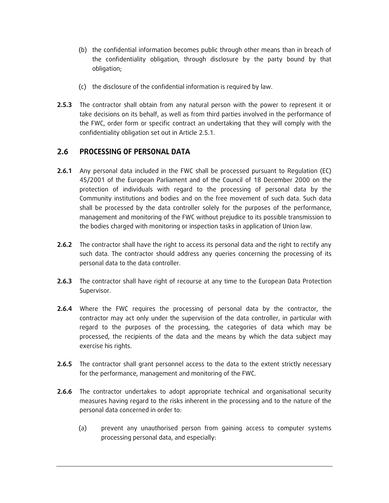- (b) the confidential information becomes public through other means than in breach of the confidentiality obligation, through disclosure by the party bound by that obligation;
- (c) the disclosure of the confidential information is required by law.
- **2.5.3** The contractor shall obtain from any natural person with the power to represent it or take decisions on its behalf, as well as from third parties involved in the performance of the FWC, order form or specific contract an undertaking that they will comply with the confidentiality obligation set out in Article 2.5.1.

### **2.6 PROCESSING OF PERSONAL DATA**

- **2.6.1** Any personal data included in the FWC shall be processed pursuant to Regulation (EC) 45/2001 of the European Parliament and of the Council of 18 December 2000 on the protection of individuals with regard to the processing of personal data by the Community institutions and bodies and on the free movement of such data. Such data shall be processed by the data controller solely for the purposes of the performance, management and monitoring of the FWC without prejudice to its possible transmission to the bodies charged with monitoring or inspection tasks in application of Union law.
- **2.6.2** The contractor shall have the right to access its personal data and the right to rectify any such data. The contractor should address any queries concerning the processing of its personal data to the data controller.
- 2.6.3 The contractor shall have right of recourse at any time to the European Data Protection Supervisor.
- **2.6.4** Where the FWC requires the processing of personal data by the contractor, the contractor may act only under the supervision of the data controller, in particular with regard to the purposes of the processing, the categories of data which may be processed, the recipients of the data and the means by which the data subject may exercise his rights.
- **2.6.5** The contractor shall grant personnel access to the data to the extent strictly necessary for the performance, management and monitoring of the FWC.
- **2.6.6** The contractor undertakes to adopt appropriate technical and organisational security measures having regard to the risks inherent in the processing and to the nature of the personal data concerned in order to:
	- (a) prevent any unauthorised person from gaining access to computer systems processing personal data, and especially: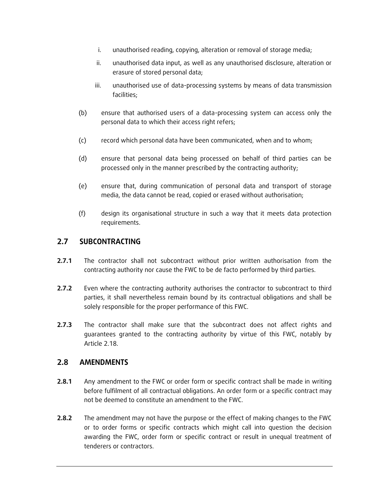- i. unauthorised reading, copying, alteration or removal of storage media;
- ii. unauthorised data input, as well as any unauthorised disclosure, alteration or erasure of stored personal data;
- iii. unauthorised use of data-processing systems by means of data transmission facilities;
- (b) ensure that authorised users of a data-processing system can access only the personal data to which their access right refers;
- (c) record which personal data have been communicated, when and to whom;
- (d) ensure that personal data being processed on behalf of third parties can be processed only in the manner prescribed by the contracting authority;
- (e) ensure that, during communication of personal data and transport of storage media, the data cannot be read, copied or erased without authorisation;
- (f) design its organisational structure in such a way that it meets data protection requirements.

### **2.7 SUBCONTRACTING**

- **2.7.1** The contractor shall not subcontract without prior written authorisation from the contracting authority nor cause the FWC to be de facto performed by third parties.
- **2.7.2** Even where the contracting authority authorises the contractor to subcontract to third parties, it shall nevertheless remain bound by its contractual obligations and shall be solely responsible for the proper performance of this FWC.
- **2.7.3** The contractor shall make sure that the subcontract does not affect rights and guarantees granted to the contracting authority by virtue of this FWC, notably by Article 2.18.

#### **2.8 AMENDMENTS**

- **2.8.1** Any amendment to the FWC or order form or specific contract shall be made in writing before fulfilment of all contractual obligations. An order form or a specific contract may not be deemed to constitute an amendment to the FWC.
- **2.8.2** The amendment may not have the purpose or the effect of making changes to the FWC or to order forms or specific contracts which might call into question the decision awarding the FWC, order form or specific contract or result in unequal treatment of tenderers or contractors.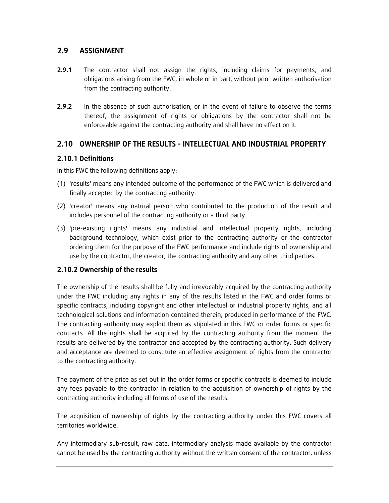### **2.9 ASSIGNMENT**

- **2.9.1** The contractor shall not assign the rights, including claims for payments, and obligations arising from the FWC, in whole or in part, without prior written authorisation from the contracting authority.
- **2.9.2** In the absence of such authorisation, or in the event of failure to observe the terms thereof, the assignment of rights or obligations by the contractor shall not be enforceable against the contracting authority and shall have no effect on it.

### **2.10 OWNERSHIP OF THE RESULTS - INTELLECTUAL AND INDUSTRIAL PROPERTY**

### **2.10.1 Definitions**

In this FWC the following definitions apply:

- (1) 'results' means any intended outcome of the performance of the FWC which is delivered and finally accepted by the contracting authority.
- (2) 'creator' means any natural person who contributed to the production of the result and includes personnel of the contracting authority or a third party.
- (3) 'pre-existing rights' means any industrial and intellectual property rights, including background technology, which exist prior to the contracting authority or the contractor ordering them for the purpose of the FWC performance and include rights of ownership and use by the contractor, the creator, the contracting authority and any other third parties.

#### **2.10.2 Ownership of the results**

The ownership of the results shall be fully and irrevocably acquired by the contracting authority under the FWC including any rights in any of the results listed in the FWC and order forms or specific contracts, including copyright and other intellectual or industrial property rights, and all technological solutions and information contained therein, produced in performance of the FWC. The contracting authority may exploit them as stipulated in this FWC or order forms or specific contracts. All the rights shall be acquired by the contracting authority from the moment the results are delivered by the contractor and accepted by the contracting authority. Such delivery and acceptance are deemed to constitute an effective assignment of rights from the contractor to the contracting authority.

The payment of the price as set out in the order forms or specific contracts is deemed to include any fees payable to the contractor in relation to the acquisition of ownership of rights by the contracting authority including all forms of use of the results.

The acquisition of ownership of rights by the contracting authority under this FWC covers all territories worldwide.

Any intermediary sub-result, raw data, intermediary analysis made available by the contractor cannot be used by the contracting authority without the written consent of the contractor, unless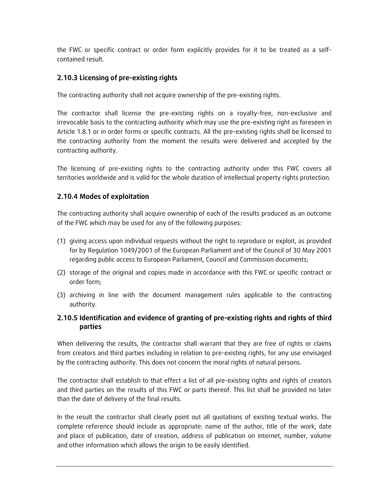the FWC or specific contract or order form explicitly provides for it to be treated as a selfcontained result.

#### **2.10.3 Licensing of pre-existing rights**

The contracting authority shall not acquire ownership of the pre-existing rights.

The contractor shall license the pre-existing rights on a royalty-free, non-exclusive and irrevocable basis to the contracting authority which may use the pre-existing right as foreseen in Article 1.8.1 or in order forms or specific contracts. All the pre-existing rights shall be licensed to the contracting authority from the moment the results were delivered and accepted by the contracting authority.

The licensing of pre-existing rights to the contracting authority under this FWC covers all territories worldwide and is valid for the whole duration of intellectual property rights protection.

#### **2.10.4 Modes of exploitation**

The contracting authority shall acquire ownership of each of the results produced as an outcome of the FWC which may be used for any of the following purposes:

- (1) giving access upon individual requests without the right to reproduce or exploit, as provided for by Regulation 1049/2001 of the European Parliament and of the Council of 30 May 2001 regarding public access to European Parliament, Council and Commission documents;
- (2) storage of the original and copies made in accordance with this FWC or specific contract or order form;
- (3) archiving in line with the document management rules applicable to the contracting authority.

#### **2.10.5 Identification and evidence of granting of pre-existing rights and rights of third parties**

When delivering the results, the contractor shall warrant that they are free of rights or claims from creators and third parties including in relation to pre-existing rights, for any use envisaged by the contracting authority. This does not concern the moral rights of natural persons.

The contractor shall establish to that effect a list of all pre-existing rights and rights of creators and third parties on the results of this FWC or parts thereof. This list shall be provided no later than the date of delivery of the final results.

In the result the contractor shall clearly point out all quotations of existing textual works. The complete reference should include as appropriate: name of the author, title of the work, date and place of publication, date of creation, address of publication on internet, number, volume and other information which allows the origin to be easily identified.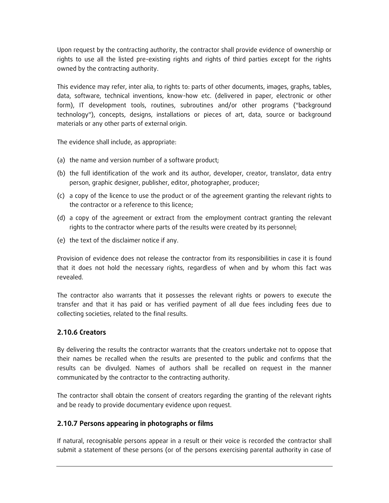Upon request by the contracting authority, the contractor shall provide evidence of ownership or rights to use all the listed pre-existing rights and rights of third parties except for the rights owned by the contracting authority.

This evidence may refer, inter alia, to rights to: parts of other documents, images, graphs, tables, data, software, technical inventions, know-how etc. (delivered in paper, electronic or other form), IT development tools, routines, subroutines and/or other programs ("background technology"), concepts, designs, installations or pieces of art, data, source or background materials or any other parts of external origin.

The evidence shall include, as appropriate:

- (a) the name and version number of a software product;
- (b) the full identification of the work and its author, developer, creator, translator, data entry person, graphic designer, publisher, editor, photographer, producer;
- (c) a copy of the licence to use the product or of the agreement granting the relevant rights to the contractor or a reference to this licence;
- (d) a copy of the agreement or extract from the employment contract granting the relevant rights to the contractor where parts of the results were created by its personnel;
- (e) the text of the disclaimer notice if any.

Provision of evidence does not release the contractor from its responsibilities in case it is found that it does not hold the necessary rights, regardless of when and by whom this fact was revealed.

The contractor also warrants that it possesses the relevant rights or powers to execute the transfer and that it has paid or has verified payment of all due fees including fees due to collecting societies, related to the final results.

### **2.10.6 Creators**

By delivering the results the contractor warrants that the creators undertake not to oppose that their names be recalled when the results are presented to the public and confirms that the results can be divulged. Names of authors shall be recalled on request in the manner communicated by the contractor to the contracting authority.

The contractor shall obtain the consent of creators regarding the granting of the relevant rights and be ready to provide documentary evidence upon request.

#### **2.10.7 Persons appearing in photographs or films**

If natural, recognisable persons appear in a result or their voice is recorded the contractor shall submit a statement of these persons (or of the persons exercising parental authority in case of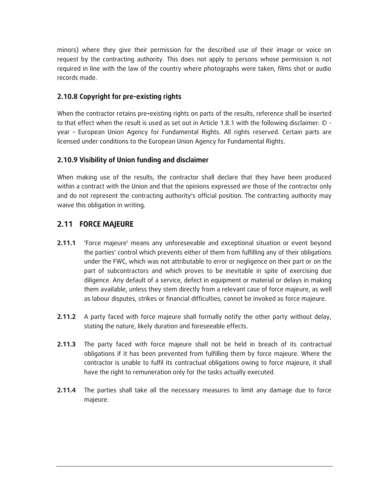minors) where they give their permission for the described use of their image or voice on request by the contracting authority. This does not apply to persons whose permission is not required in line with the law of the country where photographs were taken, films shot or audio records made.

### **2.10.8 Copyright for pre-existing rights**

When the contractor retains pre**-**existing rights on parts of the results, reference shall be inserted to that effect when the result is used as set out in Article 1.8.1 with the following disclaimer:  $\circ$  year – European Union Agency for Fundamental Rights. All rights reserved. Certain parts are licensed under conditions to the European Union Agency for Fundamental Rights.

### **2.10.9 Visibility of Union funding and disclaimer**

When making use of the results, the contractor shall declare that they have been produced within a contract with the Union and that the opinions expressed are those of the contractor only and do not represent the contracting authority's official position. The contracting authority may waive this obligation in writing.

### **2.11 FORCE MAJEURE**

- **2.11.1** 'Force majeure' means any unforeseeable and exceptional situation or event beyond the parties' control which prevents either of them from fulfilling any of their obligations under the FWC, which was not attributable to error or negligence on their part or on the part of subcontractors and which proves to be inevitable in spite of exercising due diligence. Any default of a service, defect in equipment or material or delays in making them available, unless they stem directly from a relevant case of force majeure, as well as labour disputes, strikes or financial difficulties, cannot be invoked as force majeure.
- **2.11.2** A party faced with force majeure shall formally notify the other party without delay, stating the nature, likely duration and foreseeable effects.
- **2.11.3** The party faced with force majeure shall not be held in breach of its contractual obligations if it has been prevented from fulfilling them by force majeure. Where the contractor is unable to fulfil its contractual obligations owing to force majeure, it shall have the right to remuneration only for the tasks actually executed.
- **2.11.4** The parties shall take all the necessary measures to limit any damage due to force majeure.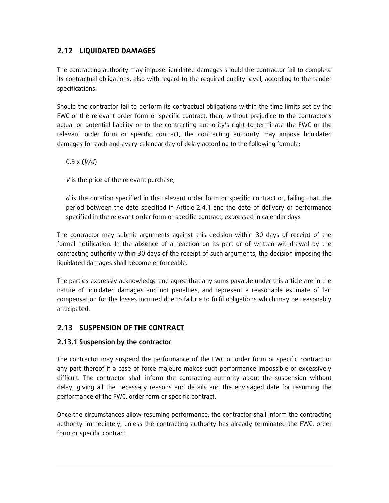# **2.12 LIQUIDATED DAMAGES**

The contracting authority may impose liquidated damages should the contractor fail to complete its contractual obligations, also with regard to the required quality level, according to the tender specifications.

Should the contractor fail to perform its contractual obligations within the time limits set by the FWC or the relevant order form or specific contract, then, without prejudice to the contractor's actual or potential liability or to the contracting authority's right to terminate the FWC or the relevant order form or specific contract, the contracting authority may impose liquidated damages for each and every calendar day of delay according to the following formula:

0.3 x (*V/d*)

*V* is the price of the relevant purchase;

*d* is the duration specified in the relevant order form or specific contract or, failing that, the period between the date specified in Article 2.4.1 and the date of delivery or performance specified in the relevant order form or specific contract, expressed in calendar days

The contractor may submit arguments against this decision within 30 days of receipt of the formal notification. In the absence of a reaction on its part or of written withdrawal by the contracting authority within 30 days of the receipt of such arguments, the decision imposing the liquidated damages shall become enforceable.

The parties expressly acknowledge and agree that any sums payable under this article are in the nature of liquidated damages and not penalties, and represent a reasonable estimate of fair compensation for the losses incurred due to failure to fulfil obligations which may be reasonably anticipated.

### **2.13 SUSPENSION OF THE CONTRACT**

#### **2.13.1 Suspension by the contractor**

The contractor may suspend the performance of the FWC or order form or specific contract or any part thereof if a case of force majeure makes such performance impossible or excessively difficult. The contractor shall inform the contracting authority about the suspension without delay, giving all the necessary reasons and details and the envisaged date for resuming the performance of the FWC, order form or specific contract.

Once the circumstances allow resuming performance, the contractor shall inform the contracting authority immediately, unless the contracting authority has already terminated the FWC, order form or specific contract.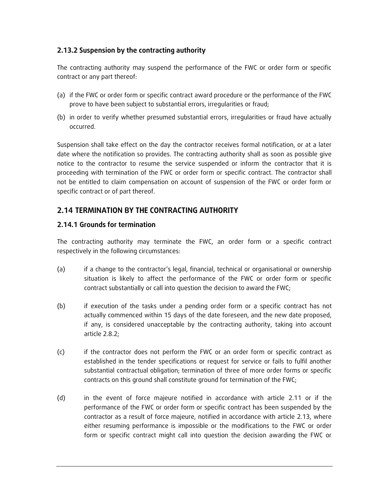#### **2.13.2 Suspension by the contracting authority**

The contracting authority may suspend the performance of the FWC or order form or specific contract or any part thereof:

- (a) if the FWC or order form or specific contract award procedure or the performance of the FWC prove to have been subject to substantial errors, irregularities or fraud;
- (b) in order to verify whether presumed substantial errors, irregularities or fraud have actually occurred.

Suspension shall take effect on the day the contractor receives formal notification, or at a later date where the notification so provides. The contracting authority shall as soon as possible give notice to the contractor to resume the service suspended or inform the contractor that it is proceeding with termination of the FWC or order form or specific contract. The contractor shall not be entitled to claim compensation on account of suspension of the FWC or order form or specific contract or of part thereof.

### **2.14 TERMINATION BY THE CONTRACTING AUTHORITY**

#### **2.14.1 Grounds for termination**

The contracting authority may terminate the FWC, an order form or a specific contract respectively in the following circumstances:

- (a) if a change to the contractor's legal, financial, technical or organisational or ownership situation is likely to affect the performance of the FWC or order form or specific contract substantially or call into question the decision to award the FWC;
- (b) if execution of the tasks under a pending order form or a specific contract has not actually commenced within 15 days of the date foreseen, and the new date proposed, if any, is considered unacceptable by the contracting authority, taking into account article 2.8.2;
- (c) if the contractor does not perform the FWC or an order form or specific contract as established in the tender specifications or request for service or fails to fulfil another substantial contractual obligation; termination of three of more order forms or specific contracts on this ground shall constitute ground for termination of the FWC;
- (d) in the event of force majeure notified in accordance with article 2.11 or if the performance of the FWC or order form or specific contract has been suspended by the contractor as a result of force majeure, notified in accordance with article 2.13, where either resuming performance is impossible or the modifications to the FWC or order form or specific contract might call into question the decision awarding the FWC or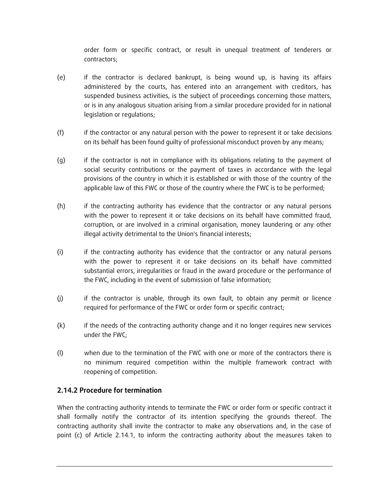order form or specific contract, or result in unequal treatment of tenderers or contractors;

- (e) if the contractor is declared bankrupt, is being wound up, is having its affairs administered by the courts, has entered into an arrangement with creditors, has suspended business activities, is the subject of proceedings concerning those matters, or is in any analogous situation arising from a similar procedure provided for in national legislation or regulations;
- (f) if the contractor or any natural person with the power to represent it or take decisions on its behalf has been found guilty of professional misconduct proven by any means;
- (g) if the contractor is not in compliance with its obligations relating to the payment of social security contributions or the payment of taxes in accordance with the legal provisions of the country in which it is established or with those of the country of the applicable law of this FWC or those of the country where the FWC is to be performed;
- (h) if the contracting authority has evidence that the contractor or any natural persons with the power to represent it or take decisions on its behalf have committed fraud, corruption, or are involved in a criminal organisation, money laundering or any other illegal activity detrimental to the Union's financial interests;
- (i) if the contracting authority has evidence that the contractor or any natural persons with the power to represent it or take decisions on its behalf have committed substantial errors, irregularities or fraud in the award procedure or the performance of the FWC, including in the event of submission of false information;
- (j) if the contractor is unable, through its own fault, to obtain any permit or licence required for performance of the FWC or order form or specific contract;
- (k) if the needs of the contracting authority change and it no longer requires new services under the FWC;
- (l) when due to the termination of the FWC with one or more of the contractors there is no minimum required competition within the multiple framework contract with reopening of competition.

#### **2.14.2 Procedure for termination**

When the contracting authority intends to terminate the FWC or order form or specific contract it shall formally notify the contractor of its intention specifying the grounds thereof. The contracting authority shall invite the contractor to make any observations and, in the case of point (c) of Article 2.14.1, to inform the contracting authority about the measures taken to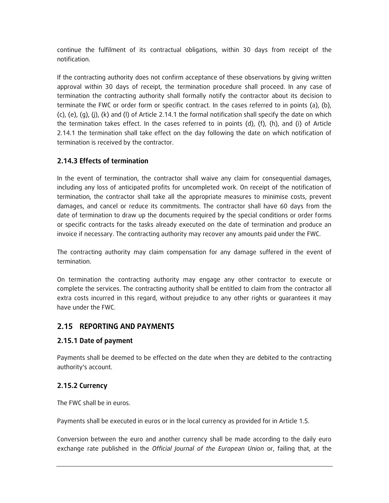continue the fulfilment of its contractual obligations, within 30 days from receipt of the notification.

If the contracting authority does not confirm acceptance of these observations by giving written approval within 30 days of receipt, the termination procedure shall proceed. In any case of termination the contracting authority shall formally notify the contractor about its decision to terminate the FWC or order form or specific contract. In the cases referred to in points (a), (b),  $(c)$ ,  $(e)$ ,  $(g)$ ,  $(j)$ ,  $(k)$  and  $(l)$  of Article 2.14.1 the formal notification shall specify the date on which the termination takes effect. In the cases referred to in points (d), (f), (h), and (i) of Article 2.14.1 the termination shall take effect on the day following the date on which notification of termination is received by the contractor.

### **2.14.3 Effects of termination**

In the event of termination, the contractor shall waive any claim for consequential damages, including any loss of anticipated profits for uncompleted work. On receipt of the notification of termination, the contractor shall take all the appropriate measures to minimise costs, prevent damages, and cancel or reduce its commitments. The contractor shall have 60 days from the date of termination to draw up the documents required by the special conditions or order forms or specific contracts for the tasks already executed on the date of termination and produce an invoice if necessary. The contracting authority may recover any amounts paid under the FWC.

The contracting authority may claim compensation for any damage suffered in the event of termination.

On termination the contracting authority may engage any other contractor to execute or complete the services. The contracting authority shall be entitled to claim from the contractor all extra costs incurred in this regard, without prejudice to any other rights or guarantees it may have under the FWC.

# **2.15 REPORTING AND PAYMENTS**

### **2.15.1 Date of payment**

Payments shall be deemed to be effected on the date when they are debited to the contracting authority's account.

# **2.15.2 Currency**

The FWC shall be in euros.

Payments shall be executed in euros or in the local currency as provided for in Article 1.5.

Conversion between the euro and another currency shall be made according to the daily euro exchange rate published in the *Official Journal of the European Union* or, failing that, at the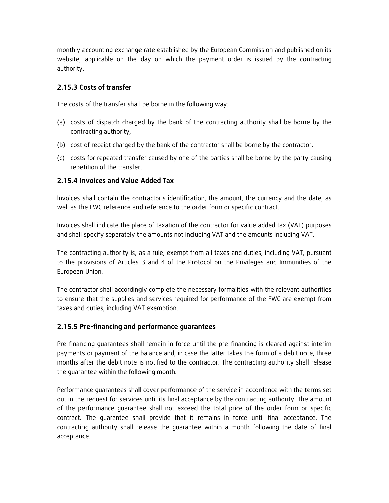monthly accounting exchange rate established by the European Commission and published on its website, applicable on the day on which the payment order is issued by the contracting authority.

### **2.15.3 Costs of transfer**

The costs of the transfer shall be borne in the following way:

- (a) costs of dispatch charged by the bank of the contracting authority shall be borne by the contracting authority,
- (b) cost of receipt charged by the bank of the contractor shall be borne by the contractor,
- (c) costs for repeated transfer caused by one of the parties shall be borne by the party causing repetition of the transfer.

### **2.15.4 Invoices and Value Added Tax**

Invoices shall contain the contractor's identification, the amount, the currency and the date, as well as the FWC reference and reference to the order form or specific contract.

Invoices shall indicate the place of taxation of the contractor for value added tax (VAT) purposes and shall specify separately the amounts not including VAT and the amounts including VAT.

The contracting authority is, as a rule, exempt from all taxes and duties, including VAT, pursuant to the provisions of Articles 3 and 4 of the Protocol on the Privileges and Immunities of the European Union.

The contractor shall accordingly complete the necessary formalities with the relevant authorities to ensure that the supplies and services required for performance of the FWC are exempt from taxes and duties, including VAT exemption.

### **2.15.5 Pre-financing and performance guarantees**

Pre-financing guarantees shall remain in force until the pre-financing is cleared against interim payments or payment of the balance and, in case the latter takes the form of a debit note, three months after the debit note is notified to the contractor. The contracting authority shall release the guarantee within the following month.

Performance guarantees shall cover performance of the service in accordance with the terms set out in the request for services until its final acceptance by the contracting authority. The amount of the performance guarantee shall not exceed the total price of the order form or specific contract. The guarantee shall provide that it remains in force until final acceptance. The contracting authority shall release the guarantee within a month following the date of final acceptance.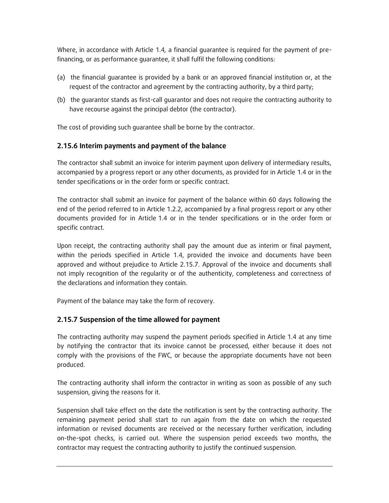Where, in accordance with Article 1.4*,* a financial guarantee is required for the payment of prefinancing, or as performance guarantee, it shall fulfil the following conditions:

- (a) the financial guarantee is provided by a bank or an approved financial institution or, at the request of the contractor and agreement by the contracting authority, by a third party;
- (b) the guarantor stands as first-call guarantor and does not require the contracting authority to have recourse against the principal debtor (the contractor).

The cost of providing such guarantee shall be borne by the contractor.

#### **2.15.6 Interim payments and payment of the balance**

The contractor shall submit an invoice for interim payment upon delivery of intermediary results, accompanied by a progress report or any other documents, as provided for in Article 1.4 or in the tender specifications or in the order form or specific contract.

The contractor shall submit an invoice for payment of the balance within 60 days following the end of the period referred to in Article 1.2.2, accompanied by a final progress report or any other documents provided for in Article 1.4 or in the tender specifications or in the order form or specific contract.

Upon receipt, the contracting authority shall pay the amount due as interim or final payment, within the periods specified in Article 1.4, provided the invoice and documents have been approved and without prejudice to Article 2.15.7. Approval of the invoice and documents shall not imply recognition of the regularity or of the authenticity, completeness and correctness of the declarations and information they contain.

Payment of the balance may take the form of recovery.

#### **2.15.7 Suspension of the time allowed for payment**

The contracting authority may suspend the payment periods specified in Article 1.4 at any time by notifying the contractor that its invoice cannot be processed, either because it does not comply with the provisions of the FWC, or because the appropriate documents have not been produced.

The contracting authority shall inform the contractor in writing as soon as possible of any such suspension, giving the reasons for it.

Suspension shall take effect on the date the notification is sent by the contracting authority. The remaining payment period shall start to run again from the date on which the requested information or revised documents are received or the necessary further verification, including on-the-spot checks, is carried out. Where the suspension period exceeds two months, the contractor may request the contracting authority to justify the continued suspension.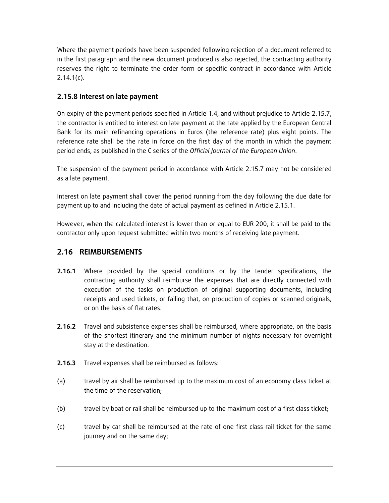Where the payment periods have been suspended following rejection of a document referred to in the first paragraph and the new document produced is also rejected, the contracting authority reserves the right to terminate the order form or specific contract in accordance with Article 2.14.1(c)*.*

### **2.15.8 Interest on late payment**

On expiry of the payment periods specified in Article 1.4, and without prejudice to Article 2.15.7, the contractor is entitled to interest on late payment at the rate applied by the European Central Bank for its main refinancing operations in Euros (the reference rate) plus eight points. The reference rate shall be the rate in force on the first day of the month in which the payment period ends, as published in the C series of the *Official Journal of the European Union*.

The suspension of the payment period in accordance with Article 2.15.7 may not be considered as a late payment.

Interest on late payment shall cover the period running from the day following the due date for payment up to and including the date of actual payment as defined in Article 2.15.1.

However, when the calculated interest is lower than or equal to EUR 200, it shall be paid to the contractor only upon request submitted within two months of receiving late payment.

### **2.16 REIMBURSEMENTS**

- **2.16.1** Where provided by the special conditions or by the tender specifications, the contracting authority shall reimburse the expenses that are directly connected with execution of the tasks on production of original supporting documents, including receipts and used tickets, or failing that, on production of copies or scanned originals, or on the basis of flat rates.
- **2.16.2** Travel and subsistence expenses shall be reimbursed, where appropriate, on the basis of the shortest itinerary and the minimum number of nights necessary for overnight stay at the destination.
- **2.16.3** Travel expenses shall be reimbursed as follows:
- (a) travel by air shall be reimbursed up to the maximum cost of an economy class ticket at the time of the reservation;
- (b) travel by boat or rail shall be reimbursed up to the maximum cost of a first class ticket;
- (c) travel by car shall be reimbursed at the rate of one first class rail ticket for the same journey and on the same day;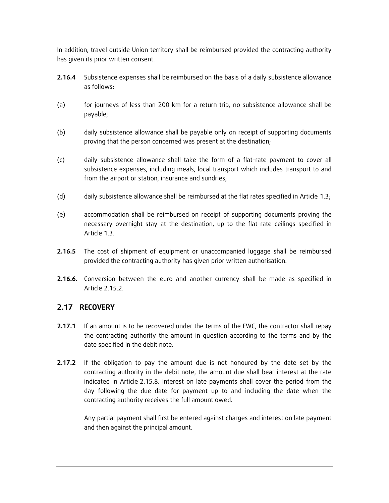In addition, travel outside Union territory shall be reimbursed provided the contracting authority has given its prior written consent.

- **2.16.4** Subsistence expenses shall be reimbursed on the basis of a daily subsistence allowance as follows:
- (a) for journeys of less than 200 km for a return trip, no subsistence allowance shall be payable;
- (b) daily subsistence allowance shall be payable only on receipt of supporting documents proving that the person concerned was present at the destination;
- (c) daily subsistence allowance shall take the form of a flat-rate payment to cover all subsistence expenses, including meals, local transport which includes transport to and from the airport or station, insurance and sundries;
- (d) daily subsistence allowance shall be reimbursed at the flat rates specified in Article 1.3;
- (e) accommodation shall be reimbursed on receipt of supporting documents proving the necessary overnight stay at the destination, up to the flat-rate ceilings specified in Article 1.3.
- **2.16.5** The cost of shipment of equipment or unaccompanied luggage shall be reimbursed provided the contracting authority has given prior written authorisation.
- **2.16.6.** Conversion between the euro and another currency shall be made as specified in Article 2.15.2.

#### **2.17 RECOVERY**

- **2.17.1** If an amount is to be recovered under the terms of the FWC, the contractor shall repay the contracting authority the amount in question according to the terms and by the date specified in the debit note.
- **2.17.2** If the obligation to pay the amount due is not honoured by the date set by the contracting authority in the debit note, the amount due shall bear interest at the rate indicated in Article 2.15.8. Interest on late payments shall cover the period from the day following the due date for payment up to and including the date when the contracting authority receives the full amount owed.

Any partial payment shall first be entered against charges and interest on late payment and then against the principal amount.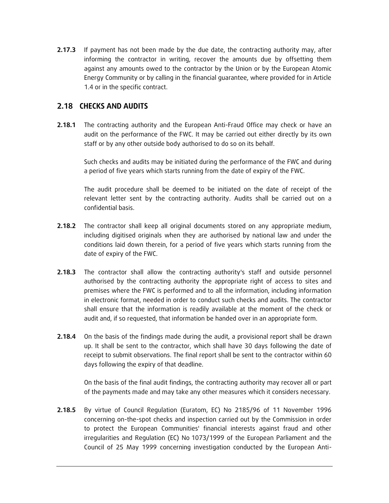**2.17.3** If payment has not been made by the due date, the contracting authority may, after informing the contractor in writing, recover the amounts due by offsetting them against any amounts owed to the contractor by the Union or by the European Atomic Energy Community or by calling in the financial guarantee, where provided for in Article 1.4 or in the specific contract.

#### **2.18 CHECKS AND AUDITS**

**2.18.1** The contracting authority and the European Anti-Fraud Office may check or have an audit on the performance of the FWC. It may be carried out either directly by its own staff or by any other outside body authorised to do so on its behalf.

Such checks and audits may be initiated during the performance of the FWC and during a period of five years which starts running from the date of expiry of the FWC.

The audit procedure shall be deemed to be initiated on the date of receipt of the relevant letter sent by the contracting authority. Audits shall be carried out on a confidential basis.

- **2.18.2** The contractor shall keep all original documents stored on any appropriate medium, including digitised originals when they are authorised by national law and under the conditions laid down therein, for a period of five years which starts running from the date of expiry of the FWC.
- **2.18.3** The contractor shall allow the contracting authority's staff and outside personnel authorised by the contracting authority the appropriate right of access to sites and premises where the FWC is performed and to all the information, including information in electronic format, needed in order to conduct such checks and audits. The contractor shall ensure that the information is readily available at the moment of the check or audit and, if so requested, that information be handed over in an appropriate form.
- **2.18.4** On the basis of the findings made during the audit, a provisional report shall be drawn up. It shall be sent to the contractor, which shall have 30 days following the date of receipt to submit observations. The final report shall be sent to the contractor within 60 days following the expiry of that deadline.

On the basis of the final audit findings, the contracting authority may recover all or part of the payments made and may take any other measures which it considers necessary.

**2.18.5** By virtue of Council Regulation (Euratom, EC) No 2185/96 of 11 November 1996 concerning on-the-spot checks and inspection carried out by the Commission in order to protect the European Communities' financial interests against fraud and other irregularities and Regulation (EC) No 1073/1999 of the European Parliament and the Council of 25 May 1999 concerning investigation conducted by the European Anti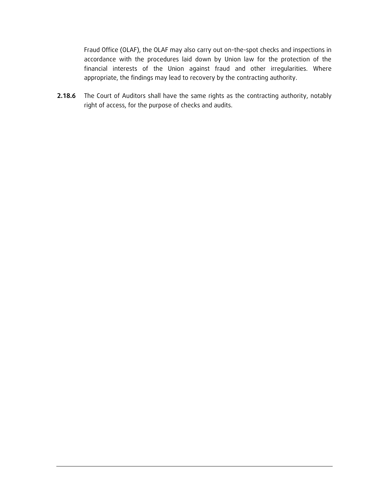Fraud Office (OLAF), the OLAF may also carry out on-the-spot checks and inspections in accordance with the procedures laid down by Union law for the protection of the financial interests of the Union against fraud and other irregularities. Where appropriate, the findings may lead to recovery by the contracting authority.

**2.18.6** The Court of Auditors shall have the same rights as the contracting authority, notably right of access, for the purpose of checks and audits.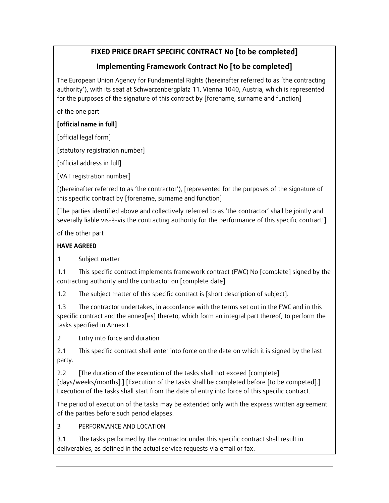# **FIXED PRICE DRAFT SPECIFIC CONTRACT No [to be completed]**

# **Implementing Framework Contract No [to be completed]**

The European Union Agency for Fundamental Rights (hereinafter referred to as 'the contracting authority'), with its seat at Schwarzenbergplatz 11, Vienna 1040, Austria, which is represented for the purposes of the signature of this contract by [forename, surname and function]

of the one part

### **[official name in full]**

[official legal form]

[statutory registration number]

[official address in full]

[VAT registration number]

[(hereinafter referred to as 'the contractor'), [represented for the purposes of the signature of this specific contract by [forename, surname and function]

[The parties identified above and collectively referred to as 'the contractor' shall be jointly and severally liable vis-à-vis the contracting authority for the performance of this specific contract']

of the other part

# **HAVE AGREED**

1 Subject matter

1.1 This specific contract implements framework contract (FWC) No [complete] signed by the contracting authority and the contractor on [complete date].

1.2 The subject matter of this specific contract is [short description of subject].

1.3 The contractor undertakes, in accordance with the terms set out in the FWC and in this specific contract and the annex[es] thereto, which form an integral part thereof, to perform the tasks specified in Annex I.

2 Entry into force and duration

2.1 This specific contract shall enter into force on the date on which it is signed by the last party.

2.2 [The duration of the execution of the tasks shall not exceed [complete] [days/weeks/months].] [Execution of the tasks shall be completed before [to be competed].] Execution of the tasks shall start from the date of entry into force of this specific contract.

The period of execution of the tasks may be extended only with the express written agreement of the parties before such period elapses.

# 3 PERFORMANCE AND LOCATION

3.1 The tasks performed by the contractor under this specific contract shall result in deliverables, as defined in the actual service requests via email or fax.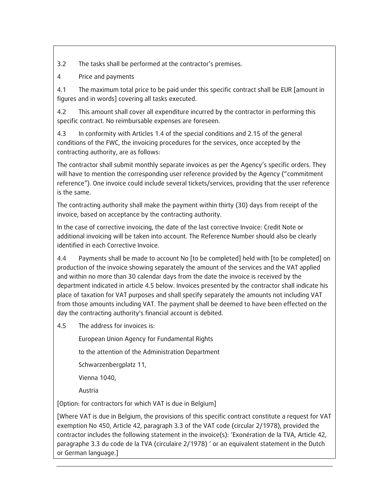3.2 The tasks shall be performed at the contractor's premises.

4 Price and payments

4.1 The maximum total price to be paid under this specific contract shall be EUR [amount in figures and in words] covering all tasks executed.

4.2 This amount shall cover all expenditure incurred by the contractor in performing this specific contract. No reimbursable expenses are foreseen.

4.3 In conformity with Articles 1.4 of the special conditions and 2.15 of the general conditions of the FWC, the invoicing procedures for the services, once accepted by the contracting authority, are as follows:

The contractor shall submit monthly separate invoices as per the Agency's specific orders. They will have to mention the corresponding user reference provided by the Agency ("commitment reference"). One invoice could include several tickets/services, providing that the user reference is the same.

The contracting authority shall make the payment within thirty (30) days from receipt of the invoice, based on acceptance by the contracting authority.

In the case of corrective invoicing, the date of the last corrective Invoice: Credit Note or additional invoicing will be taken into account. The Reference Number should also be clearly identified in each Corrective Invoice.

4.4 Payments shall be made to account No [to be completed] held with [to be completed] on production of the invoice showing separately the amount of the services and the VAT applied and within no more than 30 calendar days from the date the invoice is received by the department indicated in article 4.5 below. Invoices presented by the contractor shall indicate his place of taxation for VAT purposes and shall specify separately the amounts not including VAT from those amounts including VAT. The payment shall be deemed to have been effected on the day the contracting authority's financial account is debited.

4.5 The address for invoices is:

European Union Agency for Fundamental Rights

to the attention of the Administration Department

Schwarzenbergplatz 11,

Vienna 1040,

Austria

[Option: for contractors for which VAT is due in Belgium]

[Where VAT is due in Belgium, the provisions of this specific contract constitute a request for VAT exemption No 450, Article 42, paragraph 3.3 of the VAT code (circular 2/1978), provided the contractor includes the following statement in the invoice(s): 'Exonération de la TVA, Article 42, paragraphe 3.3 du code de la TVA (circulaire 2/1978) ' or an equivalent statement in the Dutch or German language.]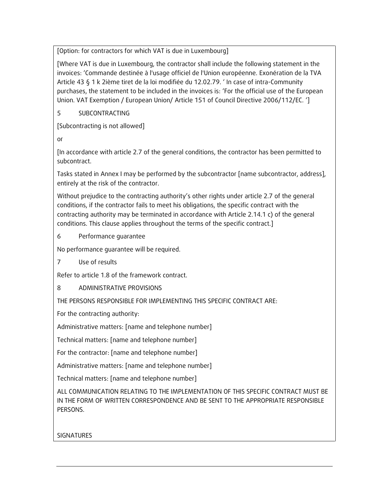[Option: for contractors for which VAT is due in Luxembourg]

[Where VAT is due in Luxembourg, the contractor shall include the following statement in the invoices: 'Commande destinée à l'usage officiel de l'Union européenne. Exonération de la TVA Article 43 § 1 k 2ième tiret de la loi modifiée du 12.02.79. ' In case of intra-Community purchases, the statement to be included in the invoices is: 'For the official use of the European Union. VAT Exemption / European Union/ Article 151 of Council Directive 2006/112/EC. ']

5 SUBCONTRACTING

[Subcontracting is not allowed]

or

[In accordance with article 2.7 of the general conditions, the contractor has been permitted to subcontract.

Tasks stated in Annex I may be performed by the subcontractor [name subcontractor, address], entirely at the risk of the contractor.

Without prejudice to the contracting authority's other rights under article 2.7 of the general conditions, if the contractor fails to meet his obligations, the specific contract with the contracting authority may be terminated in accordance with Article 2.14.1 c) of the general conditions. This clause applies throughout the terms of the specific contract.]

6 Performance guarantee

No performance guarantee will be required.

7 Use of results

Refer to article 1.8 of the framework contract.

### 8 ADMINISTRATIVE PROVISIONS

THE PERSONS RESPONSIBLE FOR IMPLEMENTING THIS SPECIFIC CONTRACT ARE:

For the contracting authority:

Administrative matters: [name and telephone number]

Technical matters: [name and telephone number]

For the contractor: [name and telephone number]

Administrative matters: [name and telephone number]

Technical matters: [name and telephone number]

ALL COMMUNICATION RELATING TO THE IMPLEMENTATION OF THIS SPECIFIC CONTRACT MUST BE IN THE FORM OF WRITTEN CORRESPONDENCE AND BE SENT TO THE APPROPRIATE RESPONSIBLE PERSONS.

SIGNATURES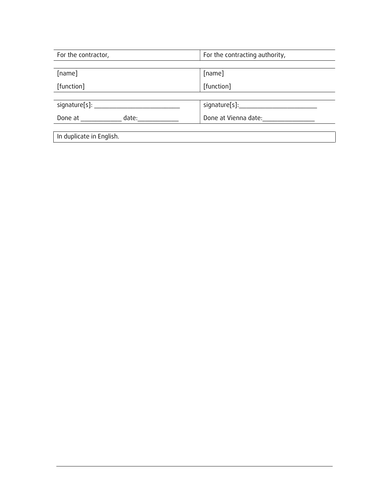| For the contractor,      | For the contracting authority, |  |  |  |
|--------------------------|--------------------------------|--|--|--|
|                          |                                |  |  |  |
| [name]                   | [name]                         |  |  |  |
| [function]               | [function]                     |  |  |  |
|                          |                                |  |  |  |
| signature[s]: _          | signature[s]:                  |  |  |  |
| date:<br>Done at         | Done at Vienna date:           |  |  |  |
|                          |                                |  |  |  |
| In duplicate in English. |                                |  |  |  |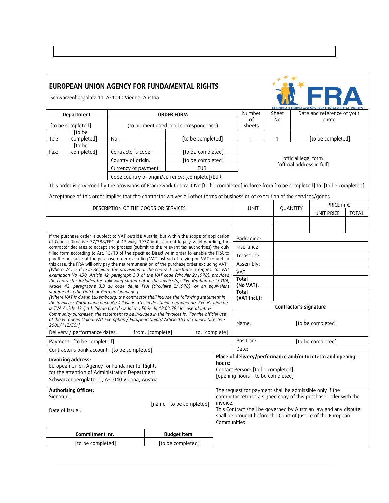| EUROPEAN UNION AGENCY FOR FUNDAMENTAL RIGHTS<br>FR.<br>Schwarzenbergplatz 11, A-1040 Vienna, Austria<br><b>FUROPEAN UNION</b> |                                                                                                                                                                                            |                                                 |                                         |                                                                                                                                                             |                                   |           |                                                           |                                        |                       |                            |              |  |
|-------------------------------------------------------------------------------------------------------------------------------|--------------------------------------------------------------------------------------------------------------------------------------------------------------------------------------------|-------------------------------------------------|-----------------------------------------|-------------------------------------------------------------------------------------------------------------------------------------------------------------|-----------------------------------|-----------|-----------------------------------------------------------|----------------------------------------|-----------------------|----------------------------|--------------|--|
| <b>Department</b>                                                                                                             |                                                                                                                                                                                            |                                                 |                                         | <b>ORDER FORM</b>                                                                                                                                           |                                   |           | Number                                                    | Sheet                                  |                       | Date and reference of your |              |  |
|                                                                                                                               | [to be completed]                                                                                                                                                                          |                                                 | (to be mentioned in all correspondence) |                                                                                                                                                             |                                   |           | οf<br>sheets                                              | No                                     |                       | quote                      |              |  |
|                                                                                                                               | [to be                                                                                                                                                                                     |                                                 |                                         |                                                                                                                                                             |                                   |           |                                                           |                                        |                       |                            |              |  |
| Tel.:                                                                                                                         | completed]<br>[to be                                                                                                                                                                       | No:                                             |                                         |                                                                                                                                                             | [to be completed]                 |           |                                                           | [to be completed]<br>$\mathbf{1}$<br>1 |                       |                            |              |  |
| Fax:                                                                                                                          | completed]                                                                                                                                                                                 | Contractor's code:                              |                                         |                                                                                                                                                             | [to be completed]                 |           |                                                           |                                        |                       |                            |              |  |
|                                                                                                                               |                                                                                                                                                                                            | Country of origin:                              |                                         | [to be completed]                                                                                                                                           |                                   |           |                                                           |                                        | [official legal form] |                            |              |  |
|                                                                                                                               |                                                                                                                                                                                            | Currency of payment:                            |                                         | <b>EUR</b>                                                                                                                                                  |                                   |           |                                                           | [official address in full]             |                       |                            |              |  |
|                                                                                                                               |                                                                                                                                                                                            | Code country of origin/currency: [complete]/EUR |                                         |                                                                                                                                                             |                                   |           |                                                           |                                        |                       |                            |              |  |
|                                                                                                                               | This order is governed by the provisions of Framework Contract No [to be completed] in force from [to be completed] to [to be completed]                                                   |                                                 |                                         |                                                                                                                                                             |                                   |           |                                                           |                                        |                       |                            |              |  |
|                                                                                                                               | Acceptance of this order implies that the contractor waives all other terms of business or of execution of the services/goods.                                                             |                                                 |                                         |                                                                                                                                                             |                                   |           |                                                           |                                        |                       |                            |              |  |
|                                                                                                                               |                                                                                                                                                                                            |                                                 |                                         |                                                                                                                                                             |                                   |           |                                                           |                                        |                       | PRICE in €                 |              |  |
|                                                                                                                               |                                                                                                                                                                                            |                                                 |                                         | DESCRIPTION OF THE GOODS OR SERVICES                                                                                                                        |                                   |           | <b>UNIT</b>                                               |                                        | QUANTITY              | <b>UNIT PRICE</b>          | <b>TOTAL</b> |  |
|                                                                                                                               |                                                                                                                                                                                            |                                                 |                                         |                                                                                                                                                             |                                   |           |                                                           |                                        |                       |                            |              |  |
|                                                                                                                               |                                                                                                                                                                                            |                                                 |                                         |                                                                                                                                                             |                                   |           |                                                           |                                        |                       |                            |              |  |
|                                                                                                                               | If the purchase order is subject to VAT outside Austria, but within the scope of application<br>of Council Directive 77/388/EEC of 17 May 1977 in its current legally valid wording, the   |                                                 |                                         |                                                                                                                                                             |                                   |           | Packaging:                                                |                                        |                       |                            |              |  |
|                                                                                                                               | contractor declares to accept and process (submit to the relevant tax authorities) the duly                                                                                                |                                                 |                                         |                                                                                                                                                             |                                   |           | Insurance:                                                |                                        |                       |                            |              |  |
|                                                                                                                               | filled form according to Art. 15/10 of the specified Directive in order to enable the FRA to<br>pay the net price of the purchase order excluding VAT instead of relying on VAT refund. In |                                                 |                                         |                                                                                                                                                             |                                   |           | Transport:                                                |                                        |                       |                            |              |  |
|                                                                                                                               | this case, the FRA will only pay the net remuneration of the purchase order excluding VAT.                                                                                                 |                                                 |                                         |                                                                                                                                                             |                                   |           | Assembly:                                                 |                                        |                       |                            |              |  |
|                                                                                                                               | [Where VAT is due in Belgium, the provisions of the contract constitute a request for VAT<br>exemption No 450, Article 42, paragraph 3.3 of the VAT code (circular 2/1978), provided       |                                                 |                                         |                                                                                                                                                             |                                   |           | VAT:                                                      |                                        |                       |                            |              |  |
|                                                                                                                               | the contractor includes the following statement in the invoice(s): 'Exonération de la TVA,<br>Article 42, paragraphe 3.3 du code de la TVA (circulaire 2/1978)' or an equivalent           |                                                 |                                         |                                                                                                                                                             |                                   |           | <b>Total</b><br>(No VAT):                                 |                                        |                       |                            |              |  |
|                                                                                                                               | statement in the Dutch or German language.]<br>[Where VAT is due in Luxembourg, the contractor shall include the following statement in                                                    |                                                 |                                         |                                                                                                                                                             |                                   |           | <b>Total</b><br>(VAT Incl.):                              |                                        |                       |                            |              |  |
|                                                                                                                               | the invoices: 'Commande destinée à l'usage officiel de l'Union européenne. Exonération de                                                                                                  |                                                 |                                         |                                                                                                                                                             |                                   |           | Contractor's signature                                    |                                        |                       |                            |              |  |
|                                                                                                                               | la TVA Article 43 § 1 k 2ième tiret de la loi modifiée du 12.02.79.' In case of intra-<br>Community purchases, the statement to be included in the invoices is: 'For the official use      |                                                 |                                         |                                                                                                                                                             |                                   |           |                                                           |                                        |                       |                            |              |  |
| 2006/112/EC.']                                                                                                                | of the European Union. VAT Exemption / European Union/ Article 151 of Council Directive                                                                                                    |                                                 |                                         |                                                                                                                                                             |                                   |           | [to be completed]<br>Name:                                |                                        |                       |                            |              |  |
|                                                                                                                               | Delivery / performance dates:                                                                                                                                                              |                                                 | from: [complete]                        |                                                                                                                                                             | to: [complete]                    |           |                                                           |                                        |                       |                            |              |  |
|                                                                                                                               | Payment: [to be completed]                                                                                                                                                                 |                                                 |                                         |                                                                                                                                                             |                                   | Position: | [to be completed]                                         |                                        |                       |                            |              |  |
|                                                                                                                               | Contractor's bank account: [to be completed]                                                                                                                                               |                                                 |                                         |                                                                                                                                                             |                                   |           | Date:                                                     |                                        |                       |                            |              |  |
|                                                                                                                               | Invoicing address:                                                                                                                                                                         |                                                 |                                         |                                                                                                                                                             |                                   | hours:    | Place of delivery/performance and/or Incoterm and opening |                                        |                       |                            |              |  |
|                                                                                                                               | European Union Agency for Fundamental Rights<br>for the attention of Administration Department                                                                                             |                                                 |                                         |                                                                                                                                                             | Contact Person: [to be completed] |           |                                                           |                                        |                       |                            |              |  |
| Schwarzenbergplatz 11, A-1040 Vienna, Austria                                                                                 |                                                                                                                                                                                            |                                                 |                                         |                                                                                                                                                             | [opening hours - to be completed] |           |                                                           |                                        |                       |                            |              |  |
|                                                                                                                               | <b>Authorising Officer:</b>                                                                                                                                                                |                                                 |                                         |                                                                                                                                                             |                                   |           | The request for payment shall be admissible only if the   |                                        |                       |                            |              |  |
| Signature:<br>[name - to be completed]<br>Date of issue:                                                                      |                                                                                                                                                                                            |                                                 |                                         | contractor returns a signed copy of this purchase order with the                                                                                            |                                   |           |                                                           |                                        |                       |                            |              |  |
|                                                                                                                               |                                                                                                                                                                                            |                                                 |                                         | invoice.<br>This Contract shall be governed by Austrian law and any dispute<br>shall be brought before the Court of Justice of the European<br>Communities. |                                   |           |                                                           |                                        |                       |                            |              |  |
|                                                                                                                               | Commitment nr.<br><b>Budget item</b>                                                                                                                                                       |                                                 |                                         |                                                                                                                                                             |                                   |           |                                                           |                                        |                       |                            |              |  |
| [to be completed]<br>[to be completed]                                                                                        |                                                                                                                                                                                            |                                                 |                                         |                                                                                                                                                             |                                   |           |                                                           |                                        |                       |                            |              |  |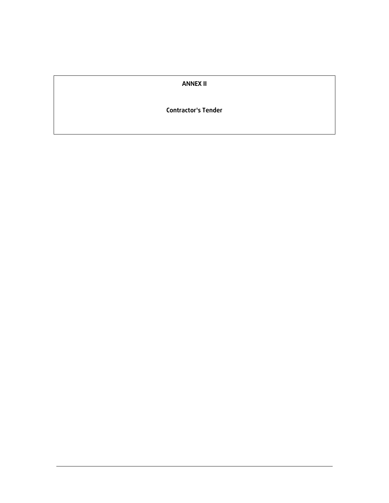#### **ANNEX II**

#### **Contractor's Tender**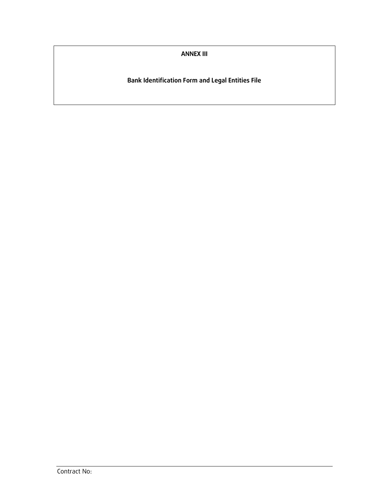**ANNEX III**

**Bank Identification Form and Legal Entities File**